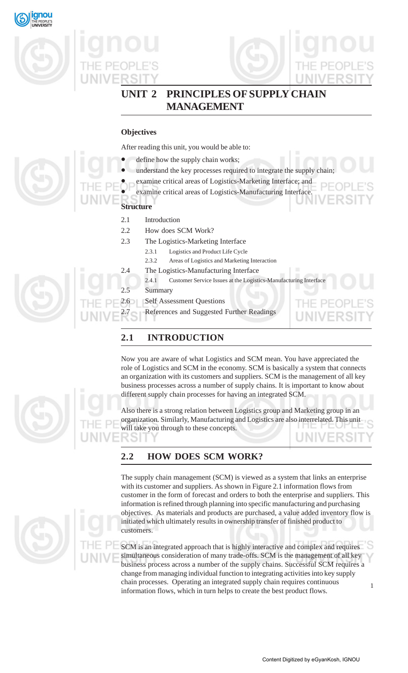







THE PF

# **UNIT 2 PRINCIPLES OF SUPPLY CHAIN MANAGEMENT**

# **Objectives**

After reading this unit, you would be able to:

- define how the supply chain works;
- understand the key processes required to integrate the supply chain;
- examine critical areas of Logistics-Marketing Interface; and
- examine critical areas of Logistics-Manufacturing Interface.
- **Structure**
	- 2.1 Introduction
	- 2.2 How does SCM Work?
	- 2.3 The Logistics-Marketing Interface
		- 2.3.1 Logistics and Product Life Cycle
		- 2.3.2 Areas of Logistics and Marketing Interaction
	- 2.4 The Logistics-Manufacturing Interface
		- 2.4.1 Customer Service Issues at the Logistics-Manufacturing Interface
		- Summary
	- 2.6 Self Assessment Questions
	- References and Suggested Further Readings

# **2.1 INTRODUCTION**

Now you are aware of what Logistics and SCM mean. You have appreciated the role of Logistics and SCM in the economy. SCM is basically a system that connects an organization with its customers and suppliers. SCM is the management of all key business processes across a number of supply chains. It is important to know about different supply chain processes for having an integrated SCM.

Also there is a strong relation between Logistics group and Marketing group in an organization. Similarly, Manufacturing and Logistics are also interrelated. This unit will take you through to these concepts. ংহ

# **2.2 HOW DOES SCM WORK?**

The supply chain management (SCM) is viewed as a system that links an enterprise with its customer and suppliers. As shown in Figure 2.1 information flows from customer in the form of forecast and orders to both the enterprise and suppliers. This information is refined through planning into specific manufacturing and purchasing objectives. As materials and products are purchased, a value added inventory flow is initiated which ultimately results in ownership transfer of finished product to customers.

1 SCM is an integrated approach that is highly interactive and complex and requires simultaneous consideration of many trade-offs. SCM is the management of all key business process across a number of the supply chains. Successful SCM requires a change from managing individual function to integrating activities into key supply chain processes. Operating an integrated supply chain requires continuous information flows, which in turn helps to create the best product flows.





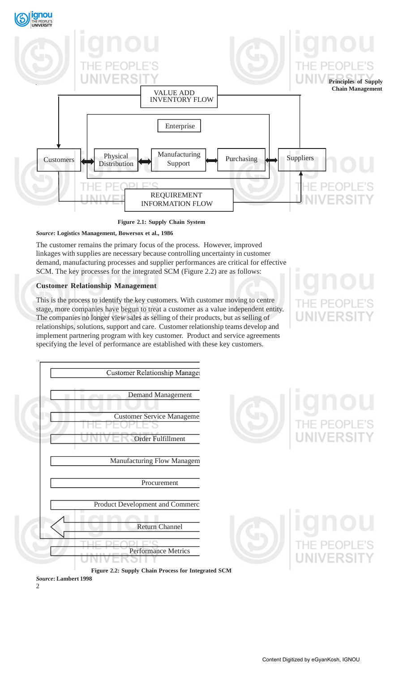

**Figure 2.1: Supply Chain System**

# *Source***: Logistics Management, Bowersox et al., 1986**

The customer remains the primary focus of the process. However, improved linkages with supplies are necessary because controlling uncertainty in customer demand, manufacturing processes and supplier performances are critical for effective SCM. The key processes for the integrated SCM (Figure 2.2) are as follows:

# **Customer Relationship Management**

This is the process to identify the key customers. With customer moving to centre stage, more companies have begun to treat a customer as a value independent entity. The companies no longer view sales as selling of their products, but as selling of relationships, solutions, support and care. Customer relationship teams develop and implement partnering program with key customer. Product and service agreements specifying the level of performance are established with these key customers.





**Figure 2.2: Supply Chain Process for Integrated SCM** *Source***: Lambert 1998**

 $\mathcal{L}$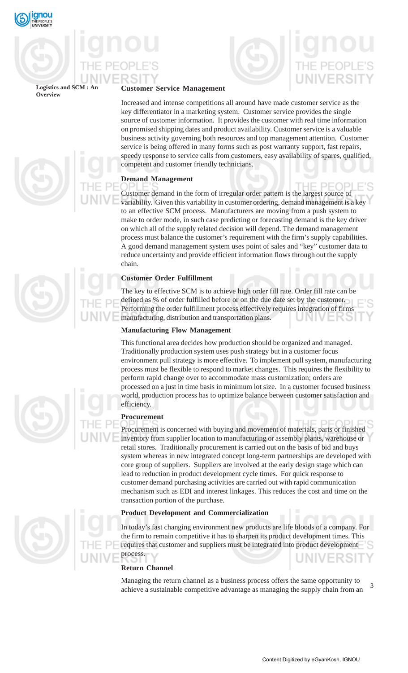



**Logistics and SCM: Overview**



Increased and intense competitions all around have made customer service as the key differentiator in a marketing system. Customer service provides the single source of customer information. It provides the customer with real time information on promised shipping dates and product availability. Customer service is a valuable business activity governing both resources and top management attention. Customer service is being offered in many forms such as post warranty support, fast repairs, speedy response to service calls from customers, easy availability of spares, qualified, competent and customer friendly technicians.

# **Demand Management**

HE PE( Customer demand in the form of irregular order pattern is the largest source of variability. Given this variability in customer ordering, demand management is a key to an effective SCM process. Manufacturers are moving from a push system to make to order mode, in such case predicting or forecasting demand is the key driver on which all of the supply related decision will depend. The demand management process must balance the customer's requirement with the firm's supply capabilities. A good demand management system uses point of sales and "key" customer data to reduce uncertainty and provide efficient information flows through out the supply chain.

# **Customer Order Fulfillment**

The key to effective SCM is to achieve high order fill rate. Order fill rate can be defined as % of order fulfilled before or on the due date set by the customer. Performing the order fulfillment process effectively requires integration of firms manufacturing, distribution and transportation plans.

# **Manufacturing Flow Management**

This functional area decides how production should be organized and managed. Traditionally production system uses push strategy but in a customer focus environment pull strategy is more effective. To implement pull system, manufacturing process must be flexible to respond to market changes. This requires the flexibility to perform rapid change over to accommodate mass customization; orders are processed on a just in time basis in minimum lot size. In a customer focused business world, production process has to optimize balance between customer satisfaction and efficiency.

# **Procurement**

Procurement is concerned with buying and movement of materials, parts or finished inventory from supplier location to manufacturing or assembly plants, warehouse or retail stores. Traditionally procurement is carried out on the basis of bid and buys system whereas in new integrated concept long-term partnerships are developed with core group of suppliers. Suppliers are involved at the early design stage which can lead to reduction in product development cycle times. For quick response to customer demand purchasing activities are carried out with rapid communication mechanism such as EDI and interest linkages. This reduces the cost and time on the transaction portion of the purchase.

# **Product Development and Commercialization**

In today's fast changing environment new products are life bloods of a company. For the firm to remain competitive it has to sharpen its product development times. This requires that customer and suppliers must be integrated into product development process.

# **Return Channel**

3 Managing the return channel as a business process offers the same opportunity to achieve a sustainable competitive advantage as managing the supply chain from an

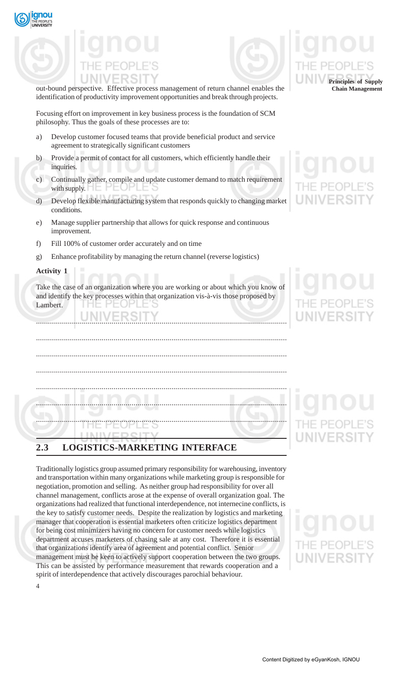



out-bound perspective. Effective process management of return channel enables the identification of productivity improvement opportunities and break through projects.

Focusing effort on improvement in key business process is the foundation of SCM philosophy. Thus the goals of these processes are to:

- a) Develop customer focused teams that provide beneficial product and service agreement to strategically significant customers
- b) Provide a permit of contact for all customers, which efficiently handle their inquiries.
- c) Continually gather, compile and update customer demand to match requirement with supply.
- d) Develop flexible manufacturing system that responds quickly to changing market conditions.
- e) Manage supplier partnership that allows for quick response and continuous improvement.
- f) Fill 100% of customer order accurately and on time
- g) Enhance profitability by managing the return channel (reverse logistics)

# **Activity 1**

Take the case of an organization where you are working or about which you know of and identify the key processes within that organization vis-à-vis those proposed by Lambert.

|                     | <u>alal lummu</u>               |  |
|---------------------|---------------------------------|--|
|                     |                                 |  |
|                     |                                 |  |
|                     |                                 |  |
|                     |                                 |  |
|                     |                                 |  |
|                     | THEIPEOPITE'S                   |  |
|                     |                                 |  |
|                     |                                 |  |
|                     | INIVEDSITY                      |  |
|                     |                                 |  |
|                     |                                 |  |
| $\bullet$ $\bullet$ | I OCIETICS MADIZETIMS IMTEDEAGE |  |
|                     |                                 |  |

# **2.3 LOGISTICS-MARKETING INTERFACE**

Traditionally logistics group assumed primary responsibility for warehousing, inventory and transportation within many organizations while marketing group is responsible for negotiation, promotion and selling. As neither group had responsibility for over all channel management, conflicts arose at the expense of overall organization goal. The organizations had realized that functional interdependence, not internecine conflicts, is the key to satisfy customer needs. Despite the realization by logistics and marketing manager that cooperation is essential marketers often criticize logistics department for being cost minimizers having no concern for customer needs while logistics department accuses marketers of chasing sale at any cost. Therefore it is essential that organizations identify area of agreement and potential conflict. Senior management must be keen to actively support cooperation between the two groups. This can be assisted by performance measurement that rewards cooperation and a spirit of interdependence that actively discourages parochial behaviour.



4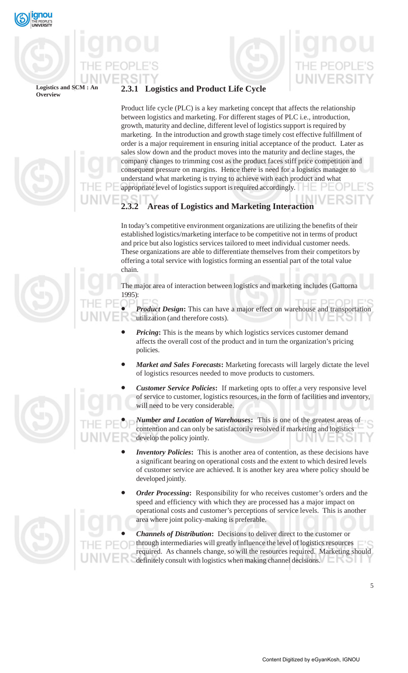

## Logistics and SCM : **Overview**



# **2.3.1 Logistics and Product Life Cycle**

Product life cycle (PLC) is a key marketing concept that affects the relationship between logistics and marketing. For different stages of PLC i.e., introduction, growth, maturity and decline, different level of logistics support is required by marketing. In the introduction and growth stage timely cost effective fulfillment of order is a major requirement in ensuring initial acceptance of the product. Later as sales slow down and the product moves into the maturity and decline stages, the company changes to trimming cost as the product faces stiff price competition and consequent pressure on margins. Hence there is need for a logistics manager to understand what marketing is trying to achieve with each product and what appropriate level of logistics support is required accordingly.

# **2.3.2 Areas of Logistics and Marketing Interaction**

In today's competitive environment organizations are utilizing the benefits of their established logistics/marketing interface to be competitive not in terms of product and price but also logistics services tailored to meet individual customer needs. These organizations are able to differentiate themselves from their competitors by offering a total service with logistics forming an essential part of the total value chain.

The major area of interaction between logistics and marketing includes (Gattorna 1995):

*Product Design*: This can have a major effect on warehouse and transportation utilization (and therefore costs).

- *Pricing***:** This is the means by which logistics services customer demand affects the overall cost of the product and in turn the organization's pricing policies.
- *Market and Sales Forecasts***:** Marketing forecasts will largely dictate the level of logistics resources needed to move products to customers.
- *Customer Service Policies***:** If marketing opts to offer a very responsive level of service to customer, logistics resources, in the form of facilities and inventory, will need to be very considerable.

• *Number and Location of Warehouses***:** This is one of the greatest areas of contention and can only be satisfactorily resolved if marketing and logistics develop the policy jointly.

- *Inventory Policies***:** This is another area of contention, as these decisions have a significant bearing on operational costs and the extent to which desired levels of customer service are achieved. It is another key area where policy should be developed jointly.
- *Order Processing***:** Responsibility for who receives customer's orders and the speed and efficiency with which they are processed has a major impact on operational costs and customer's perceptions of service levels. This is another area where joint policy-making is preferable.

• *Channels of Distribution***:** Decisions to deliver direct to the customer or through intermediaries will greatly influence the level of logistics resources required. As channels change, so will the resources required. Marketing should definitely consult with logistics when making channel decisions.

5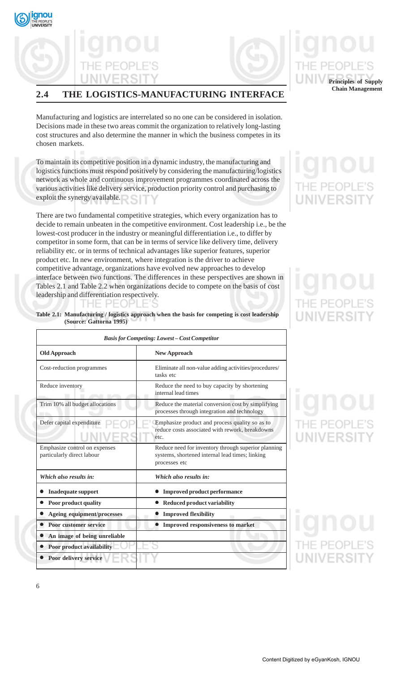

# **2.4 THE LOGISTICS-MANUFACTURING INTERFACE**

Manufacturing and logistics are interrelated so no one can be considered in isolation. Decisions made in these two areas commit the organization to relatively long-lasting cost structures and also determine the manner in which the business competes in its chosen markets.

To maintain its competitive position in a dynamic industry, the manufacturing and logistics functions must respond positively by considering the manufacturing/logistics network as whole and continuous improvement programmes coordinated across the various activities like delivery service, production priority control and purchasing to exploit the synergy available.

There are two fundamental competitive strategies, which every organization has to decide to remain unbeaten in the competitive environment. Cost leadership i.e., be the lowest-cost producer in the industry or meaningful differentiation i.e., to differ by competitor in some form, that can be in terms of service like delivery time, delivery reliability etc. or in terms of technical advantages like superior features, superior product etc. In new environment, where integration is the driver to achieve competitive advantage, organizations have evolved new approaches to develop interface between two functions. The differences in these perspectives are shown in Tables 2.1 and Table 2.2 when organizations decide to compete on the basis of cost leadership and differentiation respectively.

| <b>Basis for Competing: Lowest - Cost Competitor</b>        |                                                                                                                         |  |
|-------------------------------------------------------------|-------------------------------------------------------------------------------------------------------------------------|--|
| <b>Old Approach</b>                                         | <b>New Approach</b>                                                                                                     |  |
| Cost-reduction programmes                                   | Eliminate all non-value adding activities/procedures/<br>tasks etc                                                      |  |
| Reduce inventory                                            | Reduce the need to buy capacity by shortening<br>internal lead times                                                    |  |
| Trim 10% all budget allocations                             | Reduce the material conversion cost by simplifying<br>processes through integration and technology                      |  |
| Defer capital expenditure                                   | Emphasize product and process quality so as to<br>reduce costs associated with rework, breakdowns<br>etc.               |  |
| Emphasize control on expenses<br>particularly direct labour | Reduce need for inventory through superior planning<br>systems, shortened internal lead times; linking<br>processes etc |  |
| Which also results in:                                      | Which also results in:                                                                                                  |  |
| <b>Inadequate support</b>                                   | <b>Improved product performance</b>                                                                                     |  |
| Poor product quality                                        | <b>Reduced product variability</b>                                                                                      |  |
| Ageing equipment/processes                                  | <b>Improved flexibility</b>                                                                                             |  |
| <b>Poor customer service</b>                                | • Improved responsiveness to market                                                                                     |  |
| An image of being unreliable                                |                                                                                                                         |  |
| <b>Poor product availability</b>                            |                                                                                                                         |  |
| • Poor delivery service                                     |                                                                                                                         |  |

# **Table 2.1: Manufacturing / logistics approach when the basis for competing is cost leadership (Source: Gattorna 1995)**

VERSI

**Principles of Supply Chain Management**

# $PF($ **JIVERSI**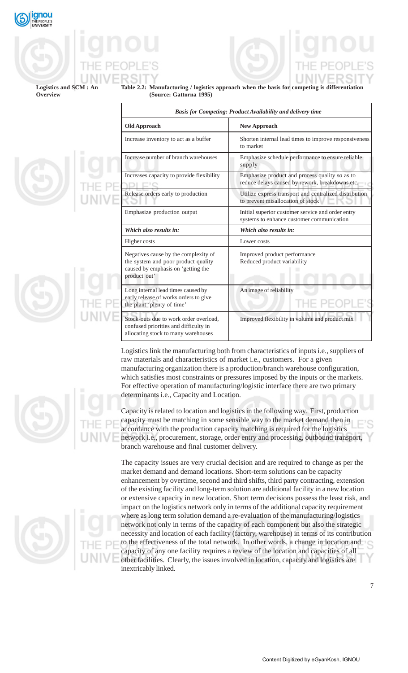

Logistics and SCM : **Overview**

**Table 2.2: Manufacturing / logistics approach when the basis for competing is differentiation (Source: Gattorna 1995)**

| <b>Basis for Competing: Product Availability and delivery time</b>                                                                |                                                                                                   |  |
|-----------------------------------------------------------------------------------------------------------------------------------|---------------------------------------------------------------------------------------------------|--|
| <b>Old Approach</b>                                                                                                               | <b>New Approach</b>                                                                               |  |
| Increase inventory to act as a buffer                                                                                             | Shorten internal lead times to improve responsiveness<br>to market                                |  |
| Increase number of branch warehouses                                                                                              | Emphasize schedule performance to ensure reliable<br>supply                                       |  |
| Increases capacity to provide flexibility                                                                                         | Emphasize product and process quality so as to<br>reduce delays caused by rework, breakdowns etc. |  |
| Release orders early to production                                                                                                | Utilize express transport and centralized distribution<br>to prevent misallocation of stock       |  |
| Emphasize production output                                                                                                       | Initial superior customer service and order entry<br>systems to enhance customer communication    |  |
| Which also results in:                                                                                                            | Which also results in:                                                                            |  |
| Higher costs                                                                                                                      | Lower costs                                                                                       |  |
| Negatives cause by the complexity of<br>the system and poor product quality<br>caused by emphasis on 'getting the<br>product out' | Improved product performance<br>Reduced product variability                                       |  |
| Long internal lead times caused by<br>early release of works orders to give<br>the plant 'plenty of time'                         | An image of reliability                                                                           |  |
| Stock-outs due to work order overload.<br>confused priorities and difficulty in<br>allocating stock to many warehouses            | Improved flexibility in volume and product mix                                                    |  |

Logistics link the manufacturing both from characteristics of inputs i.e., suppliers of raw materials and characteristics of market i.e., customers. For a given manufacturing organization there is a production/branch warehouse configuration, which satisfies most constraints or pressures imposed by the inputs or the markets. For effective operation of manufacturing/logistic interface there are two primary determinants i.e., Capacity and Location.

Capacity is related to location and logistics in the following way. First, production capacity must be matching in some sensible way to the market demand then in accordance with the production capacity matching is required for the logistics network i.e., procurement, storage, order entry and processing, outbound transport, branch warehouse and final customer delivery.

The capacity issues are very crucial decision and are required to change as per the market demand and demand locations. Short-term solutions can be capacity enhancement by overtime, second and third shifts, third party contracting, extension of the existing facility and long-term solution are additional facility in a new location or extensive capacity in new location. Short term decisions possess the least risk, and impact on the logistics network only in terms of the additional capacity requirement where as long term solution demand a re-evaluation of the manufacturing/logistics network not only in terms of the capacity of each component but also the strategic necessity and location of each facility (factory, warehouse) in terms of its contribution to the effectiveness of the total network. In other words, a change in location and capacity of any one facility requires a review of the location and capacities of all other facilities. Clearly, the issues involved in location, capacity and logistics are inextricably linked.



7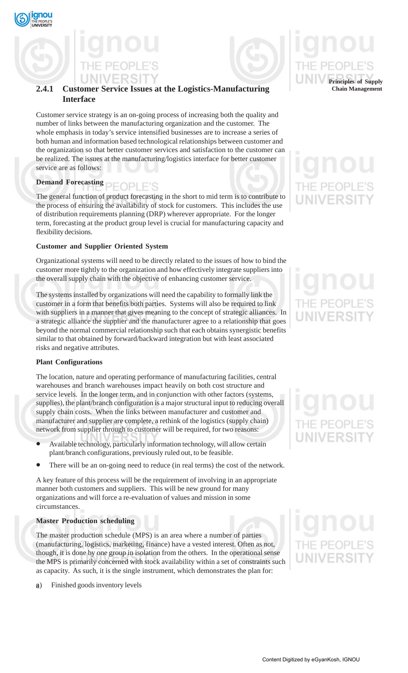



# **2.4.1 Customer Service Issues at the Logistics-Manufacturing Interface**

Customer service strategy is an on-going process of increasing both the quality and number of links between the manufacturing organization and the customer. The whole emphasis in today's service intensified businesses are to increase a series of both human and information based technological relationships between customer and the organization so that better customer services and satisfaction to the customer can be realized. The issues at the manufacturing/logistics interface for better customer service are as follows:

# **Demand Forecasting**

The general function of product forecasting in the short to mid term is to contribute to the process of ensuring the availability of stock for customers. This includes the use of distribution requirements planning (DRP) wherever appropriate. For the longer term, forecasting at the product group level is crucial for manufacturing capacity and flexibility decisions.

# **Customer and Supplier Oriented System**

Organizational systems will need to be directly related to the issues of how to bind the customer more tightly to the organization and how effectively integrate suppliers into the overall supply chain with the objective of enhancing customer service.

The systems installed by organizations will need the capability to formally link the customer in a form that benefits both parties. Systems will also be required to link with suppliers in a manner that gives meaning to the concept of strategic alliances. In a strategic alliance the supplier and the manufacturer agree to a relationship that goes beyond the normal commercial relationship such that each obtains synergistic benefits similar to that obtained by forward/backward integration but with least associated risks and negative attributes.

# **Plant Configurations**

The location, nature and operating performance of manufacturing facilities, central warehouses and branch warehouses impact heavily on both cost structure and service levels. In the longer term, and in conjunction with other factors (systems, supplies), the plant/branch configuration is a major structural input to reducing overall supply chain costs. When the links between manufacturer and customer and manufacturer and supplier are complete, a rethink of the logistics (supply chain) network from supplier through to customer will be required, for two reasons:

- Available technology, particularly information technology, will allow certain plant/branch configurations, previously ruled out, to be feasible.
- There will be an on-going need to reduce (in real terms) the cost of the network.

A key feature of this process will be the requirement of involving in an appropriate manner both customers and suppliers. This will be new ground for many organizations and will force a re-evaluation of values and mission in some circumstances.

# **Master Production scheduling**

The master production schedule (MPS) is an area where a number of parties (manufacturing, logistics, marketing, finance) have a vested interest. Often as not, though, it is done by one group in isolation from the others. In the operational sense the MPS is primarily concerned with stock availability within a set of constraints such as capacity. As such, it is the single instrument, which demonstrates the plan for:

8) Finished goods inventory levels **Principles of Supply Chain Management**

# **JNIVERSIT**